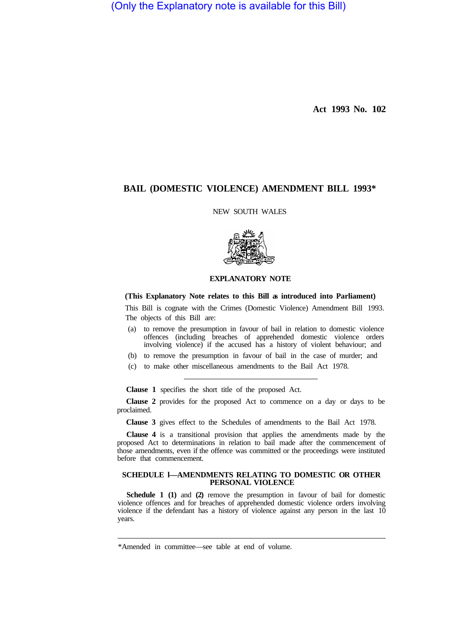(Only the Explanatory note is available for this Bill)

**Act 1993 No. 102** 

# **BAIL (DOMESTIC VIOLENCE) AMENDMENT BILL 1993\***

NEW SOUTH WALES



## **EXPLANATORY NOTE**

### **(This Explanatory Note relates to this Bill as introduced into Parliament)**

This Bill is cognate with the Crimes (Domestic Violence) Amendment Bill 1993. The objects of this Bill are:

- (a) to remove the presumption in favour of bail in relation to domestic violence offences (including breaches of apprehended domestic violence orders involving violence) if the accused has a history of violent behaviour; and
- (b) to remove the presumption in favour of bail in the case of murder; and
- (c) to make other miscellaneous amendments to the Bail Act 1978.

**Clause 1** specifies the short title of the proposed Act.

**Clause 2** provides for the proposed Act to commence on a day or days to be proclaimed.

**Clause 3** gives effect to the Schedules of amendments to the Bail Act 1978.

**Clause 4** is a transitional provision that applies the amendments made by the proposed Act to determinations in relation to bail made after the commencement of those amendments, even if the offence was committed or the proceedings were instituted before that commencement.

#### **SCHEDULE l—AMENDMENTS RELATING TO DOMESTIC OR OTHER PERSONAL VIOLENCE**

**Schedule 1 (1)** and **(2)** remove the presumption in favour of bail for domestic violence offences and for breaches of apprehended domestic violence orders involving violence if the defendant has a history of violence against any person in the last 10 years.

<sup>\*</sup>Amended in committee—see table at end of volume.